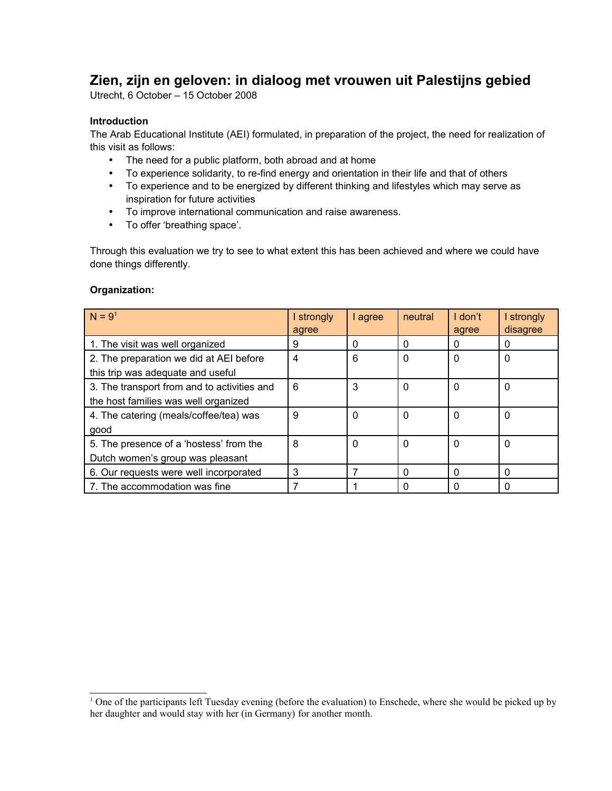# **Zien, zijn en geloven: in dialoog met vrouwen uit Palestijns gebied**

Utrecht, 6 October – 15 October 2008

## **Introduction**

The Arab Educational Institute (AEI) formulated, in preparation of the project, the need for realization of this visit as follows:

- The need for a public platform, both abroad and at home
- To experience solidarity, to re-find energy and orientation in their life and that of others
- To experience and to be energized by different thinking and lifestyles which may serve as inspiration for future activities
- To improve international communication and raise awareness.
- To offer 'breathing space'.

Through this evaluation we try to see to what extent this has been achieved and where we could have done things differently.

### **Organization:**

| $N = 91$                                                                            | strongly<br>agree | agree    | neutral  | I don't<br>agree | I strongly<br>disagree |
|-------------------------------------------------------------------------------------|-------------------|----------|----------|------------------|------------------------|
| 1. The visit was well organized                                                     | 9                 | 0        | $\Omega$ | 0                | 0                      |
| 2. The preparation we did at AEI before<br>this trip was adequate and useful        | 4                 | 6        | $\Omega$ | $\Omega$         | $\Omega$               |
| 3. The transport from and to activities and<br>the host families was well organized | 6                 | 3        | $\Omega$ | $\Omega$         | $\Omega$               |
| 4. The catering (meals/coffee/tea) was<br>qood                                      | 9                 | $\Omega$ | $\Omega$ | $\Omega$         | 0                      |
| 5. The presence of a 'hostess' from the<br>Dutch women's group was pleasant         | 8                 | $\Omega$ | $\Omega$ | $\Omega$         | $\Omega$               |
| 6. Our requests were well incorporated                                              | 3                 |          | $\Omega$ | $\Omega$         | $\Omega$               |
| 7. The accommodation was fine                                                       |                   |          | $\Omega$ | $\Omega$         | $\Omega$               |

<span id="page-0-0"></span><sup>1</sup> One of the participants left Tuesday evening (before the evaluation) to Enschede, where she would be picked up by her daughter and would stay with her (in Germany) for another month.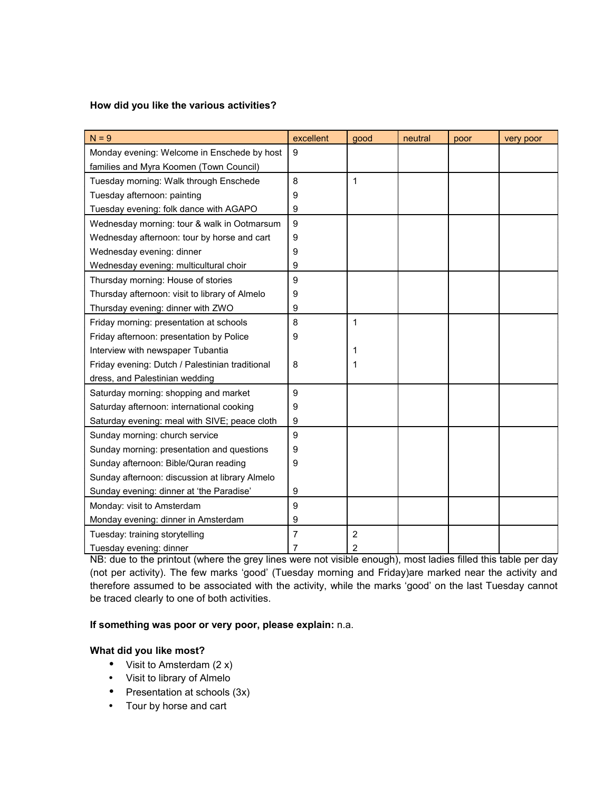#### **How did you like the various activities?**

| $N = 9$                                         | excellent      | good           | neutral | poor | very poor |
|-------------------------------------------------|----------------|----------------|---------|------|-----------|
| Monday evening: Welcome in Enschede by host     | 9              |                |         |      |           |
| families and Myra Koomen (Town Council)         |                |                |         |      |           |
| Tuesday morning: Walk through Enschede          | 8              | $\mathbf{1}$   |         |      |           |
| Tuesday afternoon: painting                     | 9              |                |         |      |           |
| Tuesday evening: folk dance with AGAPO          | 9              |                |         |      |           |
| Wednesday morning: tour & walk in Ootmarsum     | 9              |                |         |      |           |
| Wednesday afternoon: tour by horse and cart     | 9              |                |         |      |           |
| Wednesday evening: dinner                       | 9              |                |         |      |           |
| Wednesday evening: multicultural choir          | 9              |                |         |      |           |
| Thursday morning: House of stories              | 9              |                |         |      |           |
| Thursday afternoon: visit to library of Almelo  | 9              |                |         |      |           |
| Thursday evening: dinner with ZWO               | 9              |                |         |      |           |
| Friday morning: presentation at schools         | 8              | 1              |         |      |           |
| Friday afternoon: presentation by Police        | 9              |                |         |      |           |
| Interview with newspaper Tubantia               |                | 1              |         |      |           |
| Friday evening: Dutch / Palestinian traditional | 8              | 1              |         |      |           |
| dress, and Palestinian wedding                  |                |                |         |      |           |
| Saturday morning: shopping and market           | 9              |                |         |      |           |
| Saturday afternoon: international cooking       | 9              |                |         |      |           |
| Saturday evening: meal with SIVE; peace cloth   | 9              |                |         |      |           |
| Sunday morning: church service                  | 9              |                |         |      |           |
| Sunday morning: presentation and questions      | 9              |                |         |      |           |
| Sunday afternoon: Bible/Quran reading           | 9              |                |         |      |           |
| Sunday afternoon: discussion at library Almelo  |                |                |         |      |           |
| Sunday evening: dinner at 'the Paradise'        | 9              |                |         |      |           |
| Monday: visit to Amsterdam                      | 9              |                |         |      |           |
| Monday evening: dinner in Amsterdam             | 9              |                |         |      |           |
| Tuesday: training storytelling                  | $\overline{7}$ | $\overline{2}$ |         |      |           |
| Tuesday evening: dinner                         | 7              | $\overline{2}$ |         |      |           |

NB: due to the printout (where the grey lines were not visible enough), most ladies filled this table per day (not per activity). The few marks 'good' (Tuesday morning and Friday)are marked near the activity and therefore assumed to be associated with the activity, while the marks 'good' on the last Tuesday cannot be traced clearly to one of both activities.

## **If something was poor or very poor, please explain:** n.a.

## **What did you like most?**

- Visit to Amsterdam  $(2 x)$
- Visit to library of Almelo
- Presentation at schools (3x)
- Tour by horse and cart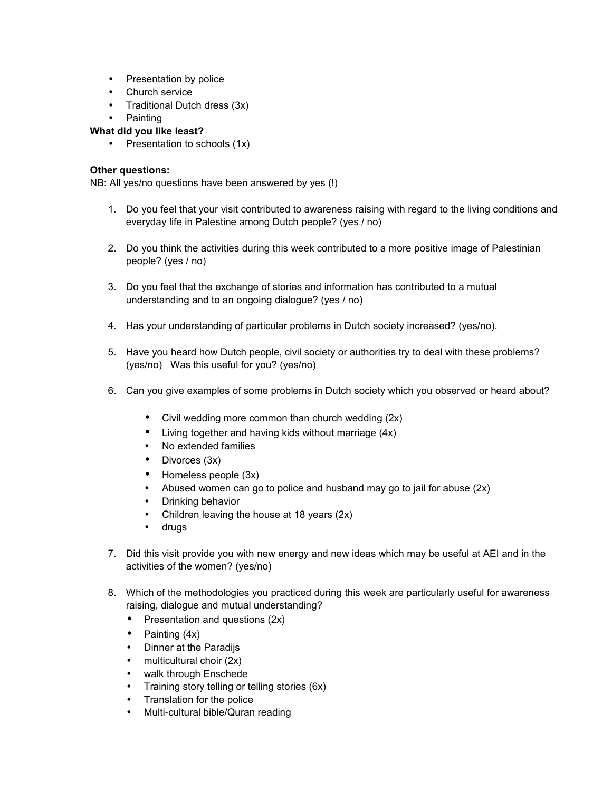- Presentation by police
- Church service
- Traditional Dutch dress (3x)
- Painting

#### **What did you like least?**

• Presentation to schools (1x)

#### **Other questions:**

NB: All yes/no questions have been answered by yes (!)

- 1. Do you feel that your visit contributed to awareness raising with regard to the living conditions and everyday life in Palestine among Dutch people? (yes / no)
- 2. Do you think the activities during this week contributed to a more positive image of Palestinian people? (yes / no)
- 3. Do you feel that the exchange of stories and information has contributed to a mutual understanding and to an ongoing dialogue? (yes / no)
- 4. Has your understanding of particular problems in Dutch society increased? (yes/no).
- 5. Have you heard how Dutch people, civil society or authorities try to deal with these problems? (yes/no) Was this useful for you? (yes/no)
- 6. Can you give examples of some problems in Dutch society which you observed or heard about?
	- Civil wedding more common than church wedding (2x)
	- Living together and having kids without marriage (4x)
	- No extended families
	- Divorces (3x)
	- Homeless people (3x)
	- Abused women can go to police and husband may go to jail for abuse (2x)
	- Drinking behavior
	- Children leaving the house at 18 years (2x)
	- drugs
- 7. Did this visit provide you with new energy and new ideas which may be useful at AEI and in the activities of the women? (yes/no)
- 8. Which of the methodologies you practiced during this week are particularly useful for awareness raising, dialogue and mutual understanding?
	- Presentation and questions (2x)
	- Painting (4x)
	- Dinner at the Paradijs
	- $\bullet$  multicultural choir (2x)
	- walk through Enschede
	- Training story telling or telling stories (6x)
	- Translation for the police
	- Multi-cultural bible/Quran reading